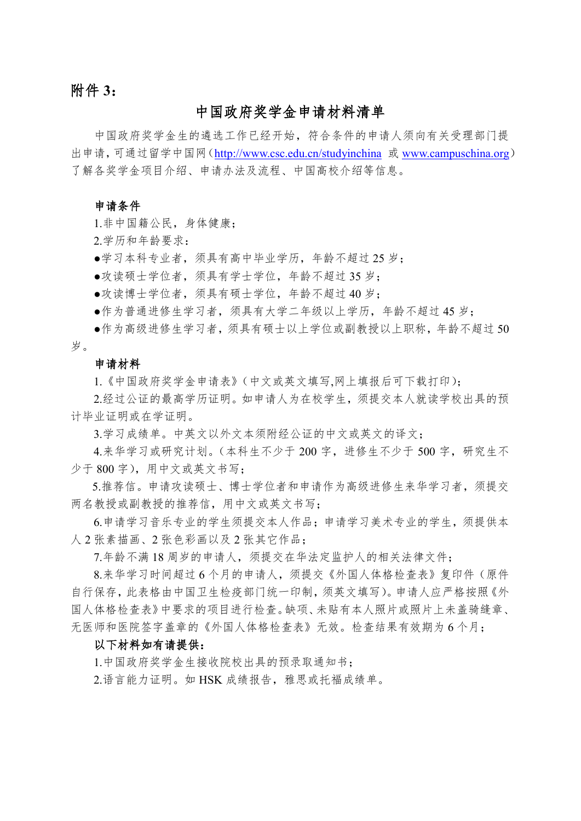# 附件 **3**:

## 中国政府奖学金申请材料清单

中国政府奖学金生的遴选工作已经开始,符合条件的申请人须向有关受理部门提 出申请,可通过留学中国网(<http://www.csc.edu.cn/studyinchina> 或 [www.campuschina.org](http://www.campuschina.org/)) 了解各奖学金项目介绍、申请办法及流程、中国高校介绍等信息。

#### 申请条件

1.非中国籍公民,身体健康;

2.学历和年龄要求:

●学习本科专业者,须具有高中毕业学历,年龄不超过 25 岁;

●攻读硕士学位者,须具有学士学位,年龄不超过 35 岁;

●攻读博士学位者,须具有硕士学位,年龄不超过 40 岁;

●作为普通进修生学习者,须具有大学二年级以上学历,年龄不超过 45 岁;

●作为高级进修生学习者,须具有硕士以上学位或副教授以上职称,年龄不超过 50 岁。

#### 申请材料

1.《中国政府奖学金申请表》(中文或英文填写,网上填报后可下载打印);

2.经过公证的最高学历证明。如申请人为在校学生,须提交本人就读学校出具的预 计毕业证明或在学证明。

3.学习成绩单。中英文以外文本须附经公证的中文或英文的译文;

4.来华学习或研究计划。(本科生不少于 200 字, 进修生不少于 500 字, 研究生不 少于 800 字), 用中文或英文书写;

5.推荐信。申请攻读硕士、博士学位者和申请作为高级进修生来华学习者,须提交 两名教授或副教授的推荐信,用中文或英文书写;

 6.申请学习音乐专业的学生须提交本人作品;申请学习美术专业的学生,须提供本 人 2 张素描画、2 张色彩画以及 2 张其它作品;

7.年龄不满 18 周岁的申请人,须提交在华法定监护人的相关法律文件;

8.来华学习时间超过 6 个月的申请人,须提交《外国人体格检查表》复印件(原件 自行保存,此表格由中国卫生检疫部门统一印制,须英文填写)。申请人应严格按照《外 国人体格检查表》中要求的项目进行检查。缺项、未贴有本人照片或照片上未盖骑缝章、 无医师和医院签字盖章的《外国人体格检查表》无效。检查结果有效期为 6 个月;

#### 以下材料如有请提供:

1.中国政府奖学金生接收院校出具的预录取通知书;

2.语言能力证明。如 HSK 成绩报告,雅思或托福成绩单。